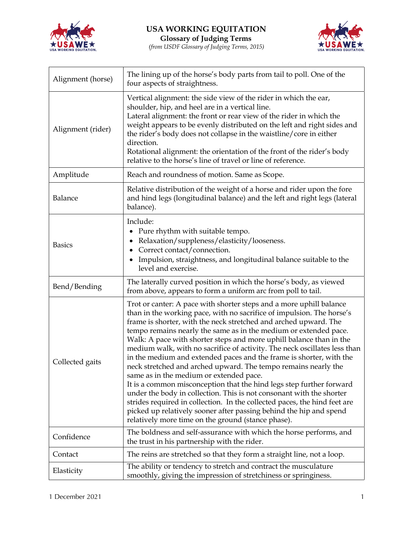

 $\mathbf{r}$ 

*(from USDF Glossary of Judging Terms, 2015)*



٦

| Alignment (horse) | The lining up of the horse's body parts from tail to poll. One of the<br>four aspects of straightness.                                                                                                                                                                                                                                                                                                                                                                                                                                                                                                                                                                                                                                                                                                                                                                                                                                                                                |
|-------------------|---------------------------------------------------------------------------------------------------------------------------------------------------------------------------------------------------------------------------------------------------------------------------------------------------------------------------------------------------------------------------------------------------------------------------------------------------------------------------------------------------------------------------------------------------------------------------------------------------------------------------------------------------------------------------------------------------------------------------------------------------------------------------------------------------------------------------------------------------------------------------------------------------------------------------------------------------------------------------------------|
| Alignment (rider) | Vertical alignment: the side view of the rider in which the ear,<br>shoulder, hip, and heel are in a vertical line.<br>Lateral alignment: the front or rear view of the rider in which the<br>weight appears to be evenly distributed on the left and right sides and<br>the rider's body does not collapse in the waistline/core in either<br>direction.<br>Rotational alignment: the orientation of the front of the rider's body<br>relative to the horse's line of travel or line of reference.                                                                                                                                                                                                                                                                                                                                                                                                                                                                                   |
| Amplitude         | Reach and roundness of motion. Same as Scope.                                                                                                                                                                                                                                                                                                                                                                                                                                                                                                                                                                                                                                                                                                                                                                                                                                                                                                                                         |
| Balance           | Relative distribution of the weight of a horse and rider upon the fore<br>and hind legs (longitudinal balance) and the left and right legs (lateral<br>balance).                                                                                                                                                                                                                                                                                                                                                                                                                                                                                                                                                                                                                                                                                                                                                                                                                      |
| <b>Basics</b>     | Include:<br>Pure rhythm with suitable tempo.<br>$\bullet$<br>Relaxation/suppleness/elasticity/looseness.<br>٠<br>Correct contact/connection.<br>$\bullet$<br>Impulsion, straightness, and longitudinal balance suitable to the<br>level and exercise.                                                                                                                                                                                                                                                                                                                                                                                                                                                                                                                                                                                                                                                                                                                                 |
| Bend/Bending      | The laterally curved position in which the horse's body, as viewed<br>from above, appears to form a uniform arc from poll to tail.                                                                                                                                                                                                                                                                                                                                                                                                                                                                                                                                                                                                                                                                                                                                                                                                                                                    |
| Collected gaits   | Trot or canter: A pace with shorter steps and a more uphill balance<br>than in the working pace, with no sacrifice of impulsion. The horse's<br>frame is shorter, with the neck stretched and arched upward. The<br>tempo remains nearly the same as in the medium or extended pace.<br>Walk: A pace with shorter steps and more uphill balance than in the<br>medium walk, with no sacrifice of activity. The neck oscillates less than<br>in the medium and extended paces and the frame is shorter, with the<br>neck stretched and arched upward. The tempo remains nearly the<br>same as in the medium or extended pace.<br>It is a common misconception that the hind legs step further forward<br>under the body in collection. This is not consonant with the shorter<br>strides required in collection. In the collected paces, the hind feet are<br>picked up relatively sooner after passing behind the hip and spend<br>relatively more time on the ground (stance phase). |
| Confidence        | The boldness and self-assurance with which the horse performs, and<br>the trust in his partnership with the rider.                                                                                                                                                                                                                                                                                                                                                                                                                                                                                                                                                                                                                                                                                                                                                                                                                                                                    |
| Contact           | The reins are stretched so that they form a straight line, not a loop.                                                                                                                                                                                                                                                                                                                                                                                                                                                                                                                                                                                                                                                                                                                                                                                                                                                                                                                |
| Elasticity        | The ability or tendency to stretch and contract the musculature<br>smoothly, giving the impression of stretchiness or springiness.                                                                                                                                                                                                                                                                                                                                                                                                                                                                                                                                                                                                                                                                                                                                                                                                                                                    |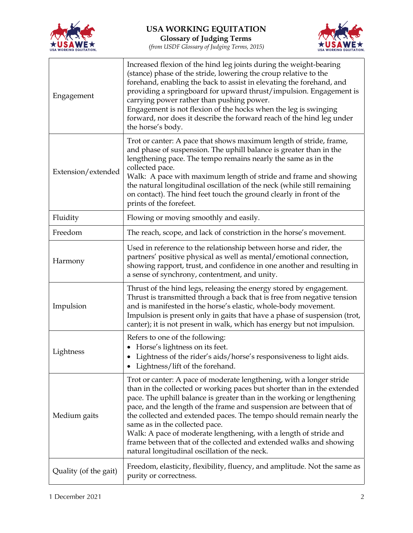



**Glossary of Judging Terms** *(from USDF Glossary of Judging Terms, 2015)*

| Engagement            | Increased flexion of the hind leg joints during the weight-bearing<br>(stance) phase of the stride, lowering the croup relative to the<br>forehand, enabling the back to assist in elevating the forehand, and<br>providing a springboard for upward thrust/impulsion. Engagement is<br>carrying power rather than pushing power.<br>Engagement is not flexion of the hocks when the leg is swinging<br>forward, nor does it describe the forward reach of the hind leg under<br>the horse's body.                                                                                                      |
|-----------------------|---------------------------------------------------------------------------------------------------------------------------------------------------------------------------------------------------------------------------------------------------------------------------------------------------------------------------------------------------------------------------------------------------------------------------------------------------------------------------------------------------------------------------------------------------------------------------------------------------------|
| Extension/extended    | Trot or canter: A pace that shows maximum length of stride, frame,<br>and phase of suspension. The uphill balance is greater than in the<br>lengthening pace. The tempo remains nearly the same as in the<br>collected pace.<br>Walk: A pace with maximum length of stride and frame and showing<br>the natural longitudinal oscillation of the neck (while still remaining<br>on contact). The hind feet touch the ground clearly in front of the<br>prints of the forefeet.                                                                                                                           |
| Fluidity              | Flowing or moving smoothly and easily.                                                                                                                                                                                                                                                                                                                                                                                                                                                                                                                                                                  |
| Freedom               | The reach, scope, and lack of constriction in the horse's movement.                                                                                                                                                                                                                                                                                                                                                                                                                                                                                                                                     |
| Harmony               | Used in reference to the relationship between horse and rider, the<br>partners' positive physical as well as mental/emotional connection,<br>showing rapport, trust, and confidence in one another and resulting in<br>a sense of synchrony, contentment, and unity.                                                                                                                                                                                                                                                                                                                                    |
| Impulsion             | Thrust of the hind legs, releasing the energy stored by engagement.<br>Thrust is transmitted through a back that is free from negative tension<br>and is manifested in the horse's elastic, whole-body movement.<br>Impulsion is present only in gaits that have a phase of suspension (trot,<br>canter); it is not present in walk, which has energy but not impulsion.                                                                                                                                                                                                                                |
| Lightness             | Refers to one of the following:<br>• Horse's lightness on its feet.<br>• Lightness of the rider's aids/horse's responsiveness to light aids.<br>Lightness/lift of the forehand.                                                                                                                                                                                                                                                                                                                                                                                                                         |
| Medium gaits          | Trot or canter: A pace of moderate lengthening, with a longer stride<br>than in the collected or working paces but shorter than in the extended<br>pace. The uphill balance is greater than in the working or lengthening<br>pace, and the length of the frame and suspension are between that of<br>the collected and extended paces. The tempo should remain nearly the<br>same as in the collected pace.<br>Walk: A pace of moderate lengthening, with a length of stride and<br>frame between that of the collected and extended walks and showing<br>natural longitudinal oscillation of the neck. |
| Quality (of the gait) | Freedom, elasticity, flexibility, fluency, and amplitude. Not the same as<br>purity or correctness.                                                                                                                                                                                                                                                                                                                                                                                                                                                                                                     |